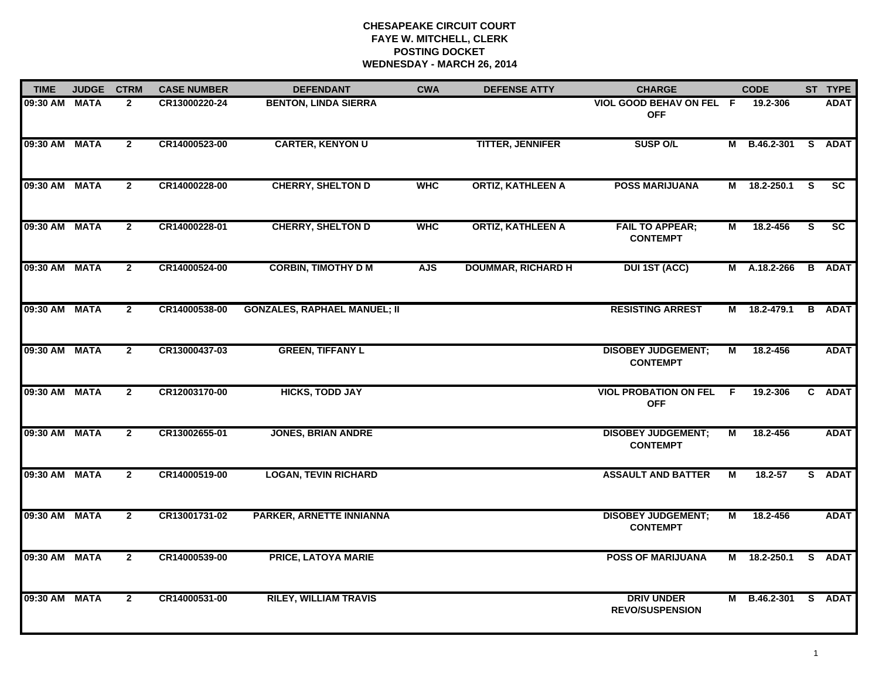# **CHESAPEAKE CIRCUIT COURT FAYE W. MITCHELL, CLERK POSTING DOCKET WEDNESDAY - MARCH 26, 2014**

| <b>TIME</b>   | <b>JUDGE</b> | <b>CTRM</b>    | <b>CASE NUMBER</b> | <b>DEFENDANT</b>                    | <b>CWA</b> | <b>DEFENSE ATTY</b>       | <b>CHARGE</b>                                |                | <b>CODE</b>       |    | ST TYPE       |
|---------------|--------------|----------------|--------------------|-------------------------------------|------------|---------------------------|----------------------------------------------|----------------|-------------------|----|---------------|
| 09:30 AM MATA |              | $\mathbf{2}$   | CR13000220-24      | <b>BENTON, LINDA SIERRA</b>         |            |                           | VIOL GOOD BEHAV ON FEL F<br><b>OFF</b>       |                | 19.2-306          |    | <b>ADAT</b>   |
| 09:30 AM MATA |              | $\mathbf{2}$   | CR14000523-00      | <b>CARTER, KENYON U</b>             |            | <b>TITTER, JENNIFER</b>   | <b>SUSP O/L</b>                              |                | M B.46.2-301      |    | S ADAT        |
| 09:30 AM MATA |              | $\mathbf{2}$   | CR14000228-00      | <b>CHERRY, SHELTON D</b>            | <b>WHC</b> | <b>ORTIZ, KATHLEEN A</b>  | <b>POSS MARIJUANA</b>                        |                | M 18.2-250.1      | S. | <b>SC</b>     |
| 09:30 AM MATA |              | $\overline{2}$ | CR14000228-01      | <b>CHERRY, SHELTON D</b>            | <b>WHC</b> | <b>ORTIZ, KATHLEEN A</b>  | <b>FAIL TO APPEAR;</b><br><b>CONTEMPT</b>    | М              | 18.2-456          | S. | SC            |
| 09:30 AM MATA |              | $\overline{2}$ | CR14000524-00      | <b>CORBIN, TIMOTHY D M</b>          | <b>AJS</b> | <b>DOUMMAR, RICHARD H</b> | <b>DUI 1ST (ACC)</b>                         |                | M A.18.2-266      |    | <b>B</b> ADAT |
| 09:30 AM MATA |              | $\mathbf{2}$   | CR14000538-00      | <b>GONZALES, RAPHAEL MANUEL; II</b> |            |                           | <b>RESISTING ARREST</b>                      |                | M 18.2-479.1      | B  | <b>ADAT</b>   |
| 09:30 AM MATA |              | $\overline{2}$ | CR13000437-03      | <b>GREEN, TIFFANY L</b>             |            |                           | <b>DISOBEY JUDGEMENT;</b><br><b>CONTEMPT</b> | $\overline{M}$ | 18.2-456          |    | <b>ADAT</b>   |
| 09:30 AM MATA |              | $\mathbf{2}$   | CR12003170-00      | <b>HICKS, TODD JAY</b>              |            |                           | <b>VIOL PROBATION ON FEL</b><br><b>OFF</b>   | -F.            | 19.2-306          |    | C ADAT        |
| 09:30 AM MATA |              | $\mathbf{2}$   | CR13002655-01      | <b>JONES, BRIAN ANDRE</b>           |            |                           | <b>DISOBEY JUDGEMENT;</b><br><b>CONTEMPT</b> | М              | 18.2-456          |    | <b>ADAT</b>   |
| 09:30 AM MATA |              | $\mathbf{2}$   | CR14000519-00      | <b>LOGAN, TEVIN RICHARD</b>         |            |                           | <b>ASSAULT AND BATTER</b>                    | М              | $18.2 - 57$       |    | S ADAT        |
| 09:30 AM MATA |              | $\mathbf{2}$   | CR13001731-02      | PARKER, ARNETTE INNIANNA            |            |                           | <b>DISOBEY JUDGEMENT;</b><br><b>CONTEMPT</b> | М              | 18.2-456          |    | <b>ADAT</b>   |
| 09:30 AM MATA |              | $\mathbf{2}$   | CR14000539-00      | <b>PRICE, LATOYA MARIE</b>          |            |                           | <b>POSS OF MARIJUANA</b>                     | M              | 18.2-250.1        | S. | <b>ADAT</b>   |
| 09:30 AM MATA |              | $\mathbf{2}$   | CR14000531-00      | <b>RILEY, WILLIAM TRAVIS</b>        |            |                           | <b>DRIV UNDER</b><br><b>REVO/SUSPENSION</b>  | M              | B.46.2-301 S ADAT |    |               |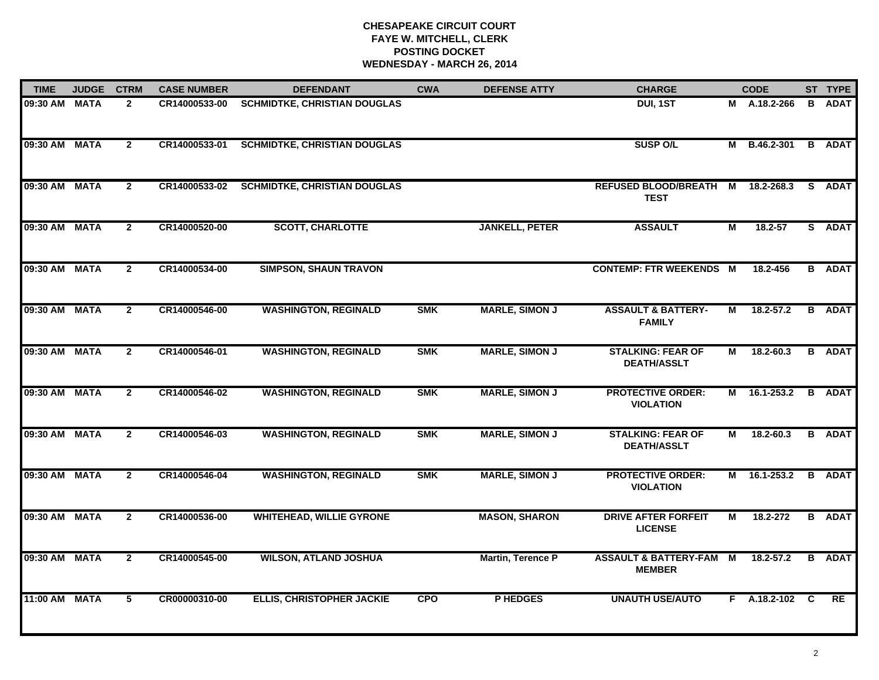# **CHESAPEAKE CIRCUIT COURT FAYE W. MITCHELL, CLERK POSTING DOCKET WEDNESDAY - MARCH 26, 2014**

| <b>TIME</b>   | <b>JUDGE</b> | <b>CTRM</b>    | <b>CASE NUMBER</b> | <b>DEFENDANT</b>                    | <b>CWA</b> | <b>DEFENSE ATTY</b>      | <b>CHARGE</b>                                       |   | <b>CODE</b>    |          | ST TYPE       |
|---------------|--------------|----------------|--------------------|-------------------------------------|------------|--------------------------|-----------------------------------------------------|---|----------------|----------|---------------|
| 09:30 AM      | <b>MATA</b>  | $\overline{2}$ | CR14000533-00      | <b>SCHMIDTKE, CHRISTIAN DOUGLAS</b> |            |                          | DUI, 1ST                                            |   | M A.18.2-266   |          | <b>B</b> ADAT |
| 09:30 AM MATA |              | $\mathbf{2}$   | CR14000533-01      | <b>SCHMIDTKE, CHRISTIAN DOUGLAS</b> |            |                          | <b>SUSP O/L</b>                                     |   | M B.46.2-301   |          | <b>B</b> ADAT |
| 09:30 AM      | <b>MATA</b>  | $\mathbf{2}$   | CR14000533-02      | <b>SCHMIDTKE, CHRISTIAN DOUGLAS</b> |            |                          | <b>REFUSED BLOOD/BREATH M</b><br><b>TEST</b>        |   | 18.2-268.3     |          | S ADAT        |
| 09:30 AM      | <b>MATA</b>  | $\mathbf{2}$   | CR14000520-00      | <b>SCOTT, CHARLOTTE</b>             |            | <b>JANKELL, PETER</b>    | <b>ASSAULT</b>                                      | М | $18.2 - 57$    |          | S ADAT        |
| 09:30 AM      | <b>MATA</b>  | $\mathbf{2}$   | CR14000534-00      | <b>SIMPSON, SHAUN TRAVON</b>        |            |                          | <b>CONTEMP: FTR WEEKENDS M</b>                      |   | 18.2-456       |          | <b>B</b> ADAT |
| 09:30 AM MATA |              | $\mathbf{2}$   | CR14000546-00      | <b>WASHINGTON, REGINALD</b>         | <b>SMK</b> | <b>MARLE, SIMON J</b>    | <b>ASSAULT &amp; BATTERY-</b><br><b>FAMILY</b>      | М | $18.2 - 57.2$  |          | <b>B</b> ADAT |
| 09:30 AM MATA |              | $\mathbf{2}$   | CR14000546-01      | <b>WASHINGTON, REGINALD</b>         | <b>SMK</b> | <b>MARLE, SIMON J</b>    | <b>STALKING: FEAR OF</b><br><b>DEATH/ASSLT</b>      | М | $18.2 - 60.3$  |          | <b>B</b> ADAT |
| 09:30 AM      | <b>MATA</b>  | $\overline{2}$ | CR14000546-02      | <b>WASHINGTON, REGINALD</b>         | <b>SMK</b> | <b>MARLE, SIMON J</b>    | <b>PROTECTIVE ORDER:</b><br><b>VIOLATION</b>        |   | M 16.1-253.2   |          | <b>B</b> ADAT |
| 09:30 AM MATA |              | $\mathbf{2}$   | CR14000546-03      | <b>WASHINGTON, REGINALD</b>         | <b>SMK</b> | <b>MARLE, SIMON J</b>    | <b>STALKING: FEAR OF</b><br><b>DEATH/ASSLT</b>      | М | 18.2-60.3      |          | <b>B</b> ADAT |
| 09:30 AM MATA |              | $\mathbf{2}$   | CR14000546-04      | <b>WASHINGTON, REGINALD</b>         | <b>SMK</b> | <b>MARLE, SIMON J</b>    | <b>PROTECTIVE ORDER:</b><br><b>VIOLATION</b>        |   | M 16.1-253.2   |          | <b>B</b> ADAT |
| 09:30 AM MATA |              | $\mathbf{2}$   | CR14000536-00      | <b>WHITEHEAD, WILLIE GYRONE</b>     |            | <b>MASON, SHARON</b>     | <b>DRIVE AFTER FORFEIT</b><br><b>LICENSE</b>        | М | 18.2-272       |          | <b>B</b> ADAT |
| 09:30 AM MATA |              | $\mathbf{2}$   | CR14000545-00      | <b>WILSON, ATLAND JOSHUA</b>        |            | <b>Martin, Terence P</b> | <b>ASSAULT &amp; BATTERY-FAM M</b><br><b>MEMBER</b> |   | $18.2 - 57.2$  | B        | <b>ADAT</b>   |
| 11:00 AM      | <b>MATA</b>  | $\overline{5}$ | CR00000310-00      | <b>ELLIS, CHRISTOPHER JACKIE</b>    | <b>CPO</b> | P HEDGES                 | <b>UNAUTH USE/AUTO</b>                              |   | $F$ A.18.2-102 | <b>C</b> | RE            |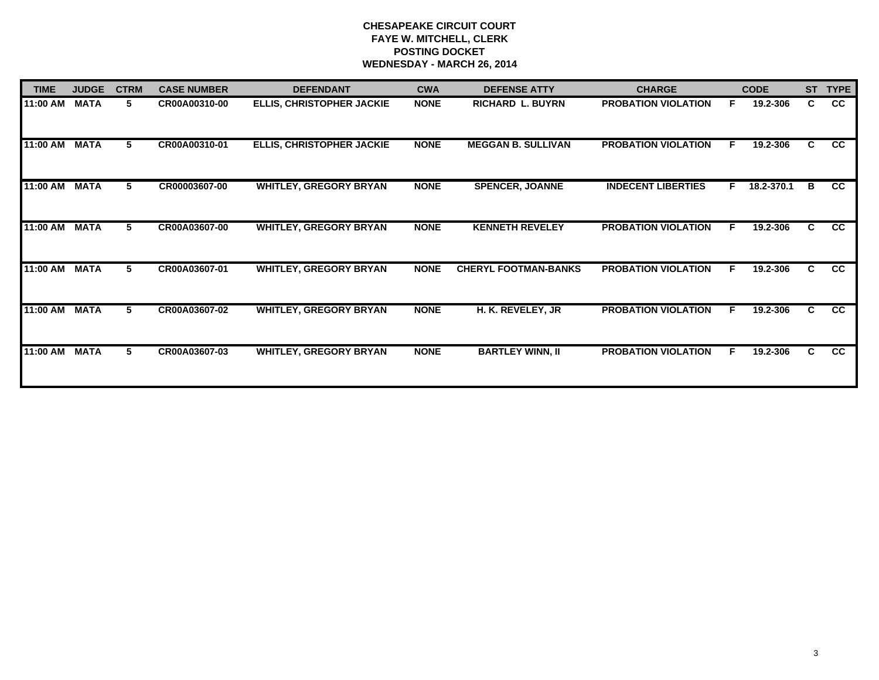# **CHESAPEAKE CIRCUIT COURT FAYE W. MITCHELL, CLERK POSTING DOCKET WEDNESDAY - MARCH 26, 2014**

| <b>TIME</b> | <b>JUDGE</b> | <b>CTRM</b> | <b>CASE NUMBER</b> | <b>DEFENDANT</b>                 | <b>CWA</b>  | <b>DEFENSE ATTY</b>         | <b>CHARGE</b>              |    | <b>CODE</b> | <b>ST</b> | <b>TYPE</b>     |
|-------------|--------------|-------------|--------------------|----------------------------------|-------------|-----------------------------|----------------------------|----|-------------|-----------|-----------------|
| 11:00 AM    | <b>MATA</b>  | 5.          | CR00A00310-00      | <b>ELLIS, CHRISTOPHER JACKIE</b> | <b>NONE</b> | <b>RICHARD L. BUYRN</b>     | <b>PROBATION VIOLATION</b> | F. | 19.2-306    | C.        | CC              |
| 11:00 AM    | <b>MATA</b>  | 5           | CR00A00310-01      | <b>ELLIS, CHRISTOPHER JACKIE</b> | <b>NONE</b> | <b>MEGGAN B. SULLIVAN</b>   | <b>PROBATION VIOLATION</b> | F. | 19.2-306    | C.        | CC              |
| 11:00 AM    | <b>MATA</b>  | 5           | CR00003607-00      | <b>WHITLEY, GREGORY BRYAN</b>    | <b>NONE</b> | <b>SPENCER, JOANNE</b>      | <b>INDECENT LIBERTIES</b>  | F. | 18.2-370.1  | B         | CC              |
| 11:00 AM    | <b>MATA</b>  | 5           | CR00A03607-00      | <b>WHITLEY, GREGORY BRYAN</b>    | <b>NONE</b> | <b>KENNETH REVELEY</b>      | <b>PROBATION VIOLATION</b> | F  | 19.2-306    | C         | CC              |
| 11:00 AM    | <b>MATA</b>  | 5           | CR00A03607-01      | <b>WHITLEY, GREGORY BRYAN</b>    | <b>NONE</b> | <b>CHERYL FOOTMAN-BANKS</b> | <b>PROBATION VIOLATION</b> | E  | 19.2-306    | C         | CC              |
| 11:00 AM    | <b>MATA</b>  | 5           | CR00A03607-02      | <b>WHITLEY, GREGORY BRYAN</b>    | <b>NONE</b> | H. K. REVELEY, JR           | <b>PROBATION VIOLATION</b> | F  | 19.2-306    | C         | $\overline{cc}$ |
| 11:00 AM    | <b>MATA</b>  | 5.          | CR00A03607-03      | <b>WHITLEY, GREGORY BRYAN</b>    | <b>NONE</b> | <b>BARTLEY WINN, II</b>     | <b>PROBATION VIOLATION</b> | F  | 19.2-306    | C         | <b>CC</b>       |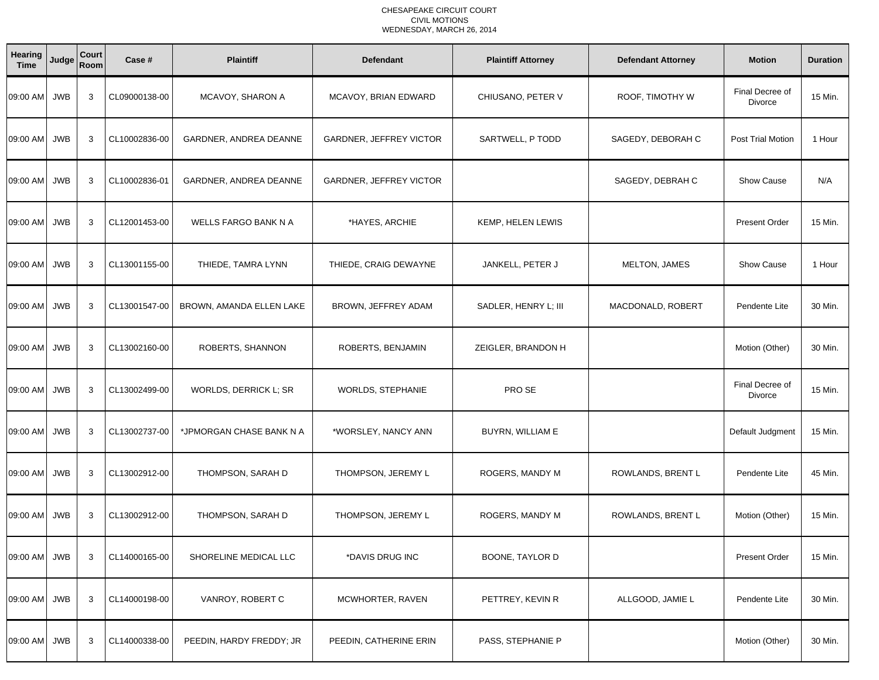### CHESAPEAKE CIRCUIT COURT CIVIL MOTIONSWEDNESDAY, MARCH 26, 2014

| Hearing<br><b>Time</b> | Judge      | Court<br>Room | Case #        | <b>Plaintiff</b>            | <b>Defendant</b>        | <b>Plaintiff Attorney</b> | <b>Defendant Attorney</b> | <b>Motion</b>                     | <b>Duration</b> |
|------------------------|------------|---------------|---------------|-----------------------------|-------------------------|---------------------------|---------------------------|-----------------------------------|-----------------|
| 09:00 AM JWB           |            | 3             | CL09000138-00 | MCAVOY, SHARON A            | MCAVOY, BRIAN EDWARD    | CHIUSANO, PETER V         | ROOF, TIMOTHY W           | Final Decree of<br><b>Divorce</b> | 15 Min.         |
| 09:00 AM               | <b>JWB</b> | 3             | CL10002836-00 | GARDNER, ANDREA DEANNE      | GARDNER, JEFFREY VICTOR | SARTWELL, P TODD          | SAGEDY, DEBORAH C         | Post Trial Motion                 | 1 Hour          |
| 09:00 AM JWB           |            | 3             | CL10002836-01 | GARDNER, ANDREA DEANNE      | GARDNER, JEFFREY VICTOR |                           | SAGEDY, DEBRAH C          | <b>Show Cause</b>                 | N/A             |
| 09:00 AM               | <b>JWB</b> | 3             | CL12001453-00 | <b>WELLS FARGO BANK N A</b> | *HAYES, ARCHIE          | KEMP, HELEN LEWIS         |                           | <b>Present Order</b>              | 15 Min.         |
| 09:00 AM JWB           |            | 3             | CL13001155-00 | THIEDE, TAMRA LYNN          | THIEDE, CRAIG DEWAYNE   | JANKELL, PETER J          | MELTON, JAMES             | Show Cause                        | 1 Hour          |
| 09:00 AM               | <b>JWB</b> | 3             | CL13001547-00 | BROWN, AMANDA ELLEN LAKE    | BROWN, JEFFREY ADAM     | SADLER, HENRY L; III      | MACDONALD, ROBERT         | Pendente Lite                     | 30 Min.         |
| 09:00 AM JWB           |            | 3             | CL13002160-00 | ROBERTS, SHANNON            | ROBERTS, BENJAMIN       | ZEIGLER, BRANDON H        |                           | Motion (Other)                    | 30 Min.         |
| 09:00 AM JWB           |            | 3             | CL13002499-00 | WORLDS, DERRICK L; SR       | WORLDS, STEPHANIE       | PRO SE                    |                           | Final Decree of<br>Divorce        | 15 Min.         |
| 09:00 AM               | <b>JWB</b> | 3             | CL13002737-00 | *JPMORGAN CHASE BANK N A    | *WORSLEY, NANCY ANN     | BUYRN, WILLIAM E          |                           | Default Judgment                  | 15 Min.         |
| 09:00 AM JWB           |            | 3             | CL13002912-00 | THOMPSON, SARAH D           | THOMPSON, JEREMY L      | ROGERS, MANDY M           | ROWLANDS, BRENT L         | Pendente Lite                     | 45 Min.         |
| 09:00 AM JWB           |            | 3             | CL13002912-00 | THOMPSON, SARAH D           | THOMPSON, JEREMY L      | ROGERS, MANDY M           | ROWLANDS, BRENT L         | Motion (Other)                    | 15 Min.         |
| 09:00 AM JWB           |            | 3             | CL14000165-00 | SHORELINE MEDICAL LLC       | *DAVIS DRUG INC         | <b>BOONE, TAYLOR D</b>    |                           | <b>Present Order</b>              | 15 Min.         |
| 09:00 AM JWB           |            | 3             | CL14000198-00 | VANROY, ROBERT C            | MCWHORTER, RAVEN        | PETTREY, KEVIN R          | ALLGOOD, JAMIE L          | Pendente Lite                     | 30 Min.         |
| 09:00 AM JWB           |            | 3             | CL14000338-00 | PEEDIN, HARDY FREDDY; JR    | PEEDIN, CATHERINE ERIN  | PASS, STEPHANIE P         |                           | Motion (Other)                    | 30 Min.         |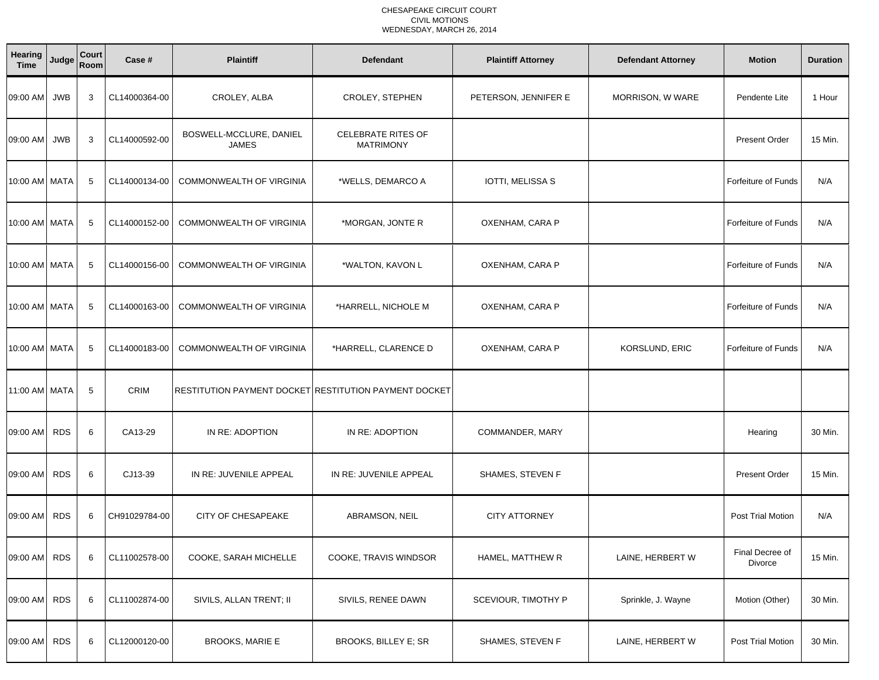### CHESAPEAKE CIRCUIT COURT CIVIL MOTIONSWEDNESDAY, MARCH 26, 2014

| <b>Hearing</b><br><b>Time</b> | Judge      | Court<br>Room | Case #        | <b>Plaintiff</b>                                      | <b>Defendant</b>                              | <b>Plaintiff Attorney</b> | <b>Defendant Attorney</b> | <b>Motion</b>              | <b>Duration</b> |
|-------------------------------|------------|---------------|---------------|-------------------------------------------------------|-----------------------------------------------|---------------------------|---------------------------|----------------------------|-----------------|
| 09:00 AM                      | JWB        | 3             | CL14000364-00 | CROLEY, ALBA                                          | CROLEY, STEPHEN                               | PETERSON, JENNIFER E      | MORRISON, W WARE          | Pendente Lite              | 1 Hour          |
| 09:00 AM                      | JWB        | 3             | CL14000592-00 | BOSWELL-MCCLURE, DANIEL<br><b>JAMES</b>               | <b>CELEBRATE RITES OF</b><br><b>MATRIMONY</b> |                           |                           | <b>Present Order</b>       | 15 Min.         |
| 10:00 AM MATA                 |            | 5             | CL14000134-00 | COMMONWEALTH OF VIRGINIA                              | *WELLS, DEMARCO A                             | IOTTI, MELISSA S          |                           | Forfeiture of Funds        | N/A             |
| 10:00 AM MATA                 |            | 5             | CL14000152-00 | COMMONWEALTH OF VIRGINIA                              | *MORGAN, JONTE R                              | OXENHAM, CARA P           |                           | <b>Forfeiture of Funds</b> | N/A             |
| 10:00 AM MATA                 |            | 5             | CL14000156-00 | COMMONWEALTH OF VIRGINIA                              | *WALTON, KAVON L                              | OXENHAM, CARA P           |                           | Forfeiture of Funds        | N/A             |
| 10:00 AM MATA                 |            | 5             | CL14000163-00 | COMMONWEALTH OF VIRGINIA                              | *HARRELL, NICHOLE M                           | OXENHAM, CARA P           |                           | Forfeiture of Funds        | N/A             |
| 10:00 AM MATA                 |            | 5             | CL14000183-00 | COMMONWEALTH OF VIRGINIA                              | *HARRELL, CLARENCE D                          | OXENHAM, CARA P           | KORSLUND, ERIC            | <b>Forfeiture of Funds</b> | N/A             |
| 11:00 AM MATA                 |            | 5             | CRIM          | RESTITUTION PAYMENT DOCKET RESTITUTION PAYMENT DOCKET |                                               |                           |                           |                            |                 |
| 09:00 AM                      | <b>RDS</b> | 6             | CA13-29       | IN RE: ADOPTION                                       | IN RE: ADOPTION                               | COMMANDER, MARY           |                           | Hearing                    | 30 Min.         |
| 09:00 AM                      | <b>RDS</b> | 6             | CJ13-39       | IN RE: JUVENILE APPEAL                                | IN RE: JUVENILE APPEAL                        | SHAMES, STEVEN F          |                           | <b>Present Order</b>       | 15 Min.         |
| 09:00 AM                      | <b>RDS</b> | 6             | CH91029784-00 | CITY OF CHESAPEAKE                                    | ABRAMSON, NEIL                                | <b>CITY ATTORNEY</b>      |                           | Post Trial Motion          | N/A             |
| 09:00 AM RDS                  |            | 6             | CL11002578-00 | COOKE, SARAH MICHELLE                                 | COOKE, TRAVIS WINDSOR                         | HAMEL, MATTHEW R          | LAINE, HERBERT W          | Final Decree of<br>Divorce | 15 Min.         |
| 09:00 AM                      | <b>RDS</b> | 6             | CL11002874-00 | SIVILS, ALLAN TRENT; II                               | SIVILS, RENEE DAWN                            | SCEVIOUR, TIMOTHY P       | Sprinkle, J. Wayne        | Motion (Other)             | 30 Min.         |
| 09:00 AM RDS                  |            | 6             | CL12000120-00 | <b>BROOKS, MARIE E</b>                                | BROOKS, BILLEY E; SR                          | SHAMES, STEVEN F          | LAINE, HERBERT W          | Post Trial Motion          | 30 Min.         |